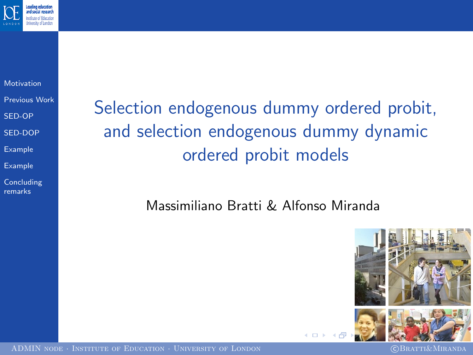

[Motivation](#page-1-0) [Previous Work](#page-2-0) [SED-OP](#page-3-0) [SED-DOP](#page-8-0)

[Example](#page-13-0)

[Example](#page-13-0)

**[Concluding](#page-17-0)** remarks

Selection endogenous dummy ordered probit, and selection endogenous dummy dynamic ordered probit models

Massimiliano Bratti & Alfonso Miranda



<span id="page-0-0"></span>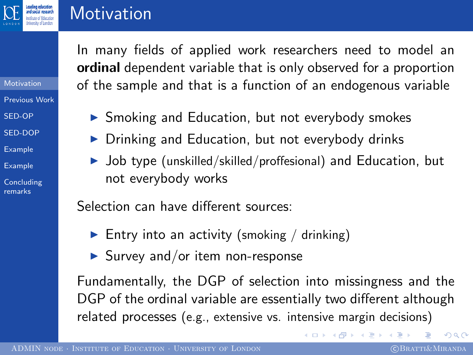

[Motivation](#page-1-0) [Previous Work](#page-2-0) [SED-OP](#page-3-0) [SED-DOP](#page-8-0) [Example](#page-13-0) [Example](#page-13-0) **[Concluding](#page-17-0)** remarks

#### **Motivation**

In many fields of applied work researchers need to model an ordinal dependent variable that is only observed for a proportion of the sample and that is a function of an endogenous variable

- ▶ Smoking and Education, but not everybody smokes
- $\triangleright$  Drinking and Education, but not everybody drinks
- $\triangleright$  Job type (unskilled/skilled/proffesional) and Education, but not everybody works

Selection can have different sources:

- Entry into an activity (smoking / drinking)
- $\blacktriangleright$  Survey and/or item non-response

Fundamentally, the DGP of selection into missingness and the DGP of the ordinal variable are essentially two different although related processes (e.g., extensive vs. intensive margin decisions)

<span id="page-1-0"></span> $QQ$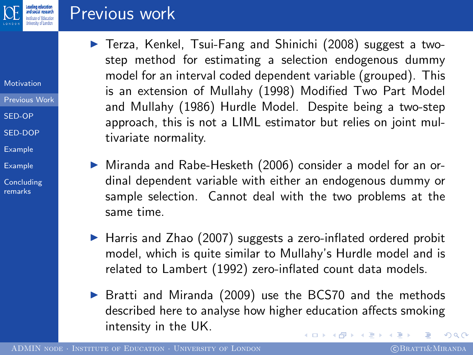

#### Previous work

- [Motivation](#page-1-0)
- [Previous Work](#page-2-0)
- [SED-OP](#page-3-0)
- [SED-DOP](#page-8-0)
- [Example](#page-13-0)
- [Example](#page-13-0)
- [Concluding](#page-17-0) remarks
- $\triangleright$  Terza, Kenkel, Tsui-Fang and Shinichi (2008) suggest a twostep method for estimating a selection endogenous dummy model for an interval coded dependent variable (grouped). This is an extension of Mullahy (1998) Modified Two Part Model and Mullahy (1986) Hurdle Model. Despite being a two-step approach, this is not a LIML estimator but relies on joint multivariate normality.
- ▶ Miranda and Rabe-Hesketh (2006) consider a model for an ordinal dependent variable with either an endogenous dummy or sample selection. Cannot deal with the two problems at the same time.
- $\blacktriangleright$  Harris and Zhao (2007) suggests a zero-inflated ordered probit model, which is quite similar to Mullahy's Hurdle model and is related to Lambert (1992) zero-inflated count data models.
- <span id="page-2-0"></span>▶ Bratti and Miranda (2009) use the BCS70 and the methods described here to analyse how higher education affects smoking intensity in the UK. イロン イ何ン イヨン イヨン  $2990$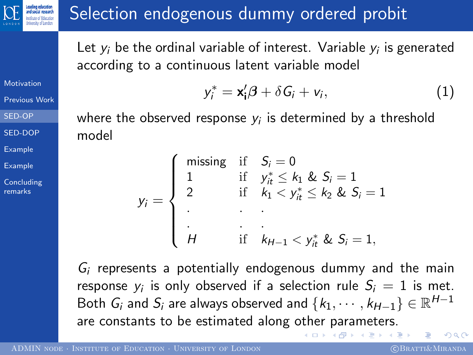

#### Selection endogenous dummy ordered probit

Let  $y_i$  be the ordinal variable of interest. Variable  $y_i$  is generated according to a continuous latent variable model

 $y_i^* = \mathbf{x}_i' \boldsymbol{\beta} + \delta G_i + v_i$ 

[Motivation](#page-1-0)

[Previous Work](#page-2-0)

[SED-OP](#page-3-0)

[SED-DOP](#page-8-0)

[Example](#page-13-0)

[Example](#page-13-0)

**[Concluding](#page-17-0)** remarks

where the observed response  $y_i$  is determined by a threshold model

| $y_i = \begin{cases} 1 \\ 2 \end{cases}$ |                                            | $\begin{cases}\n\text{missing} & \text{if} \quad S_i = 0 \\ 1 & \text{if} \quad y_{it}^* \leq k_1 \& S_i = 1\n\end{cases}$ |
|------------------------------------------|--------------------------------------------|----------------------------------------------------------------------------------------------------------------------------|
|                                          |                                            | if $k_1 < y_{it}^* \le k_2$ & $S_i = 1$                                                                                    |
|                                          |                                            |                                                                                                                            |
|                                          |                                            |                                                                                                                            |
|                                          | $\begin{pmatrix} \cdot \\ H \end{pmatrix}$ | if $k_{H-1} < y_{it}^*$ & $S_i = 1$ ,                                                                                      |

 $G_i$  represents a potentially endogenous dummy and the main response  $y_i$  is only observed if a selection rule  $S_i\,=\,1$  is met. Both  $G_i$  and  $S_i$  are always observed and  $\{k_1,\cdots,k_{H-1}\}\in \mathbb{R}^{H-1}$ are constants to be estimated along other parameters.  $QQ$ 

<span id="page-3-0"></span> $(1)$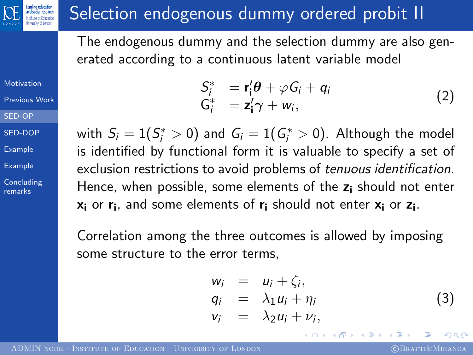# Selection endogenous dummy ordered probit II

The endogenous dummy and the selection dummy are also generated according to a continuous latent variable model

[Motivation](#page-1-0) [Previous Work](#page-2-0)

ding education

[SED-OP](#page-3-0)

[SED-DOP](#page-8-0)

[Example](#page-13-0)

[Example](#page-13-0)

**[Concluding](#page-17-0)** remarks

$$
S_i^* = \mathbf{r}_i' \boldsymbol{\theta} + \varphi G_i + q_i
$$
  
\n
$$
G_i^* = \mathbf{z}_i' \boldsymbol{\gamma} + w_i,
$$
\n(2)

with  $S_i = 1(S_i^* > 0)$  and  $G_i = 1(G_i^* > 0)$ . Although the model is identified by functional form it is valuable to specify a set of exclusion restrictions to avoid problems of tenuous identification. Hence, when possible, some elements of the  $z_i$  should not enter  $\mathsf{x}_{\mathsf{i}}$  or  $\mathsf{r}_{\mathsf{i}}$ , and some elements of  $\mathsf{r}_{\mathsf{i}}$  should not enter  $\mathsf{x}_{\mathsf{i}}$  or  $\mathsf{z}_{\mathsf{i}}$ .

Correlation among the three outcomes is allowed by imposing some structure to the error terms,

$$
w_i = u_i + \zeta_i,q_i = \lambda_1 u_i + \eta_iv_i = \lambda_2 u_i + \nu_i,
$$
 (3)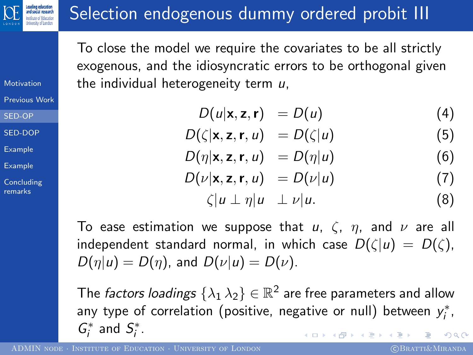# Selection endogenous dummy ordered probit III

To close the model we require the covariates to be all strictly exogenous, and the idiosyncratic errors to be orthogonal given the individual heterogeneity term  $u$ ,

$$
D(u|\mathbf{x}, \mathbf{z}, \mathbf{r}) = D(u) \tag{4}
$$

$$
D(\zeta|\mathbf{x},\mathbf{z},\mathbf{r},u) = D(\zeta|u)
$$
 (5)

$$
D(\eta|\mathbf{x}, \mathbf{z}, \mathbf{r}, u) = D(\eta|u) \tag{6}
$$

$$
D(\nu|\mathbf{x}, \mathbf{z}, \mathbf{r}, u) = D(\nu|u) \tag{7}
$$

$$
\zeta|u\perp\eta|u\perp\nu|u.\tag{8}
$$

To ease estimation we suppose that  $u, \zeta, \eta$ , and  $\nu$  are all independent standard normal, in which case  $D(\zeta|u) = D(\zeta)$ ,  $D(\eta|u) = D(\eta)$ , and  $D(\nu|u) = D(\nu)$ .

The *factors loadings*  $\{\lambda_1\,\lambda_2\}\in\mathbb{R}^2$  are free parameters and allow any type of correlation (positive, negative or null) between  $y_i^*$ ,  $G_i^*$  and  $S_i^*$ .  $2Q$ 

<span id="page-5-0"></span>

[Motivation](#page-1-0) [Previous Work](#page-2-0)

[SED-OP](#page-3-0)

[SED-DOP](#page-8-0)

[Example](#page-13-0)

[Example](#page-13-0)

**[Concluding](#page-17-0)** remarks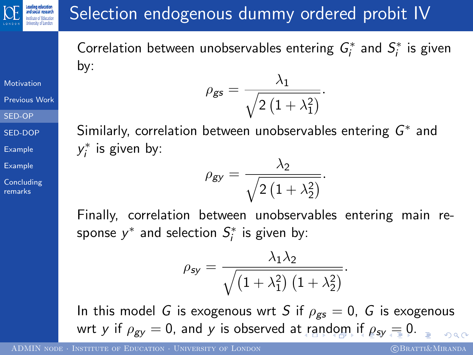# Selection endogenous dummy ordered probit IV

Correlation between unobservables entering  $G_i^*$  and  $S_i^*$  is given by:  $\rho_{gs} = \frac{\lambda_1}{\sqrt{2(1-\lambda_1)}}$ 

[Motivation](#page-1-0)

[Previous Work](#page-2-0)

Leading education

[SED-OP](#page-3-0)

[SED-DOP](#page-8-0)

[Example](#page-13-0)

[Example](#page-13-0)

**[Concluding](#page-17-0)** remarks

 $2\left(1+\lambda_1^2\right)$ Similarly, correlation between unobservables entering  $G^*$  and  $y_i^*$  is given by:

.

$$
\rho_{\text{gy}} = \frac{\lambda_2}{\sqrt{2(1+\lambda_2^2)}}.
$$

Finally, correlation between unobservables entering main response  $y^*$  and selection  $S_i^*$  is given by:

<span id="page-6-0"></span>
$$
\rho_{\text{sy}} = \frac{\lambda_1 \lambda_2}{\sqrt{\left(1 + \lambda_1^2\right)\left(1 + \lambda_2^2\right)}}.
$$

In this model G is exogenous wrt S if  $\rho_{gs} = 0$ , G is exogenous wrty [if](#page-2-0)  $\rho_{\text{gv}} = 0$  $\rho_{\text{gv}} = 0$  $\rho_{\text{gv}} = 0$  $\rho_{\text{gv}} = 0$ , and y is observed a[t ra](#page-5-0)[n](#page-7-0)[d](#page-5-0)[om](#page-6-0) if  $\rho_{\text{sv}} = 0$ [.](#page-0-0)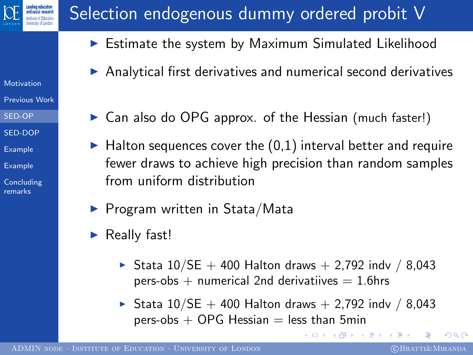

[Motivation](#page-1-0) [Previous Work](#page-2-0) [SED-OP](#page-3-0) [SED-DOP](#page-8-0) [Example](#page-13-0) [Example](#page-13-0) **[Concluding](#page-17-0)** remarks

# Selection endogenous dummy ordered probit V

- $\blacktriangleright$  Estimate the system by Maximum Simulated Likelihood
- $\triangleright$  Analytical first derivatives and numerical second derivatives
- $\triangleright$  Can also do OPG approx. of the Hessian (much faster!)
- $\blacktriangleright$  Halton sequences cover the  $(0,1)$  interval better and require fewer draws to achieve high precision than random samples from uniform distribution
- $\blacktriangleright$  Program written in Stata/Mata
- Really fast!
	- ▶ Stata  $10/SE + 400$  Halton draws + 2,792 indv / 8,043 pers-obs  $+$  numerical 2nd derivatiives  $= 1.6$ hrs
	- ▶ Stata  $10/SE + 400$  Halton draws  $+ 2,792$  indv  $/ 8,043$ pers-obs  $+$  OPG Hessian  $=$  less than 5min

化重复 化重变

<span id="page-7-0"></span> $QQ$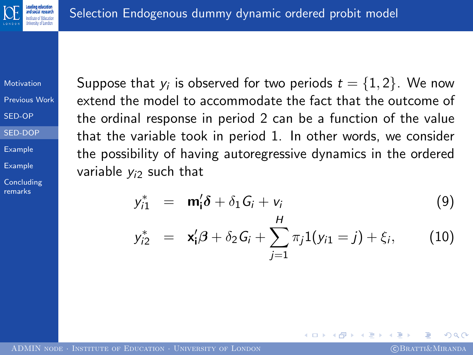

[Motivation](#page-1-0) [Previous Work](#page-2-0)

[SED-OP](#page-3-0)

[SED-DOP](#page-8-0)

[Example](#page-13-0)

[Example](#page-13-0)

**[Concluding](#page-17-0)** remarks

Suppose that  $y_i$  is observed for two periods  $t=\{1,2\}.$  We now extend the model to accommodate the fact that the outcome of the ordinal response in period 2 can be a function of the value that the variable took in period 1. In other words, we consider the possibility of having autoregressive dynamics in the ordered variable  $y_i$  such that

$$
y_{i1}^{*} = \mathbf{m}_{i}'\delta + \delta_{1}G_{i} + v_{i}
$$
(9)  

$$
y_{i2}^{*} = \mathbf{x}_{i}'\beta + \delta_{2}G_{i} + \sum_{j=1}^{H} \pi_{j}1(y_{i1} = j) + \xi_{i},
$$
(10)

<span id="page-8-1"></span><span id="page-8-0"></span> $\Omega$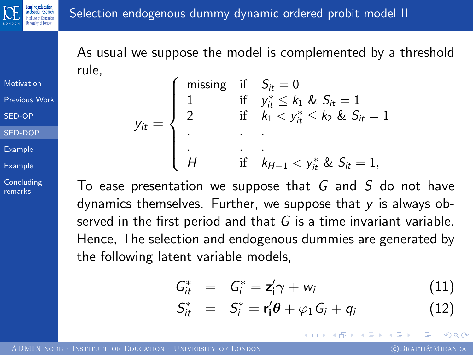

As usual we suppose the model is complemented by a threshold rule,

[Motivation](#page-1-0) [Previous Work](#page-2-0)

[SED-OP](#page-3-0)

[SED-DOP](#page-8-0)

[Example](#page-13-0)

[Example](#page-13-0)

**[Concluding](#page-17-0)** remarks

|  | $= \left\{ \begin{array}{lll} & \text{if} & S_{it} = 0 \\ 1 & & \text{if} & y_{it}^{*} \leq k_{1} \& S_{it} = 0 \\ 2 & & \text{if} & k_{1} < y_{it}^{*} \leq k_{2} \& S_{it} = 0 \\ . & . & . & . & . & . \end{array} \right.$ |
|--|--------------------------------------------------------------------------------------------------------------------------------------------------------------------------------------------------------------------------------|
|  |                                                                                                                                                                                                                                |

To ease presentation we suppose that  $G$  and  $S$  do not have dynamics themselves. Further, we suppose that  $y$  is always observed in the first period and that G is a time invariant variable. Hence, The selection and endogenous dummies are generated by the following latent variable models,

$$
G_{it}^* = G_i^* = \mathbf{z}_i' \boldsymbol{\gamma} + w_i \tag{11}
$$

$$
S_{it}^* = S_i^* = \mathbf{r}_i' \boldsymbol{\theta} + \varphi_1 G_i + q_i \qquad (12)
$$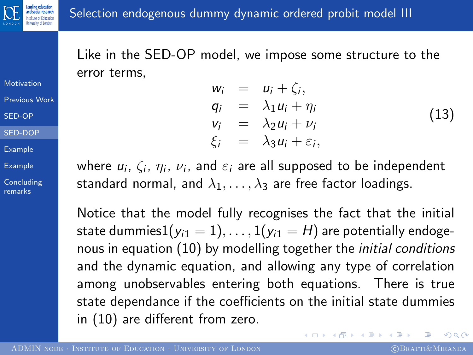Like in the SED-OP model, we impose some structure to the error terms,

[Motivation](#page-1-0) [Previous Work](#page-2-0)

[SED-OP](#page-3-0)

[SED-DOP](#page-8-0)

[Example](#page-13-0)

[Example](#page-13-0)

**[Concluding](#page-17-0)** remarks

 $w_i = u_i + \zeta_i,$  $q_i = \lambda_1 u_i + \eta_i$  $v_i = \lambda_2 u_i + v_i$  $\xi_i = \lambda_3 u_i + \varepsilon_i,$ (13)

where  $u_i, \, \zeta_i, \, \eta_i, \, \nu_i,$  and  $\varepsilon_i$  are all supposed to be independent standard normal, and  $\lambda_1, \ldots, \lambda_3$  are free factor loadings.

Notice that the model fully recognises the fact that the initial state dummies1( $y_{i1} = 1$ ), ..., 1( $y_{i1} = H$ ) are potentially endogenous in equation [\(10\)](#page-8-1) by modelling together the initial conditions and the dynamic equation, and allowing any type of correlation among unobservables entering both equations. There is true state dependance if the coefficients on the initial state dummies in [\(10\)](#page-8-1) are different from zero.

 $2990$ 

メロメ メ都 メメ きょく ミメー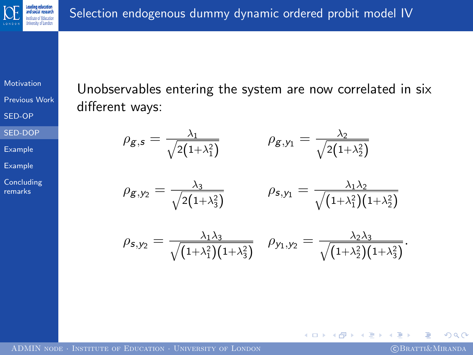

[Motivation](#page-1-0)

[Previous Work](#page-2-0)

[SED-OP](#page-3-0)

[SED-DOP](#page-8-0)

[Example](#page-13-0)

[Example](#page-13-0)

**[Concluding](#page-17-0)** remarks

Unobservables entering the system are now correlated in six different ways:

$$
\rho_{g,s} = \frac{\lambda_1}{\sqrt{2(1+\lambda_1^2)}} \qquad \rho_{g,y_1} = \frac{\lambda_2}{\sqrt{2(1+\lambda_2^2)}}
$$

$$
\rho_{\mathcal{S},y_2} = \frac{\lambda_3}{\sqrt{2(1+\lambda_3^2)}} \qquad \rho_{\mathcal{S},y_1} = \frac{\lambda_1\lambda_2}{\sqrt{(1+\lambda_1^2)(1+\lambda_2^2)}}
$$

$$
\rho_{\mathsf{s},\mathsf{y}_2}=\frac{\lambda_1\lambda_3}{\sqrt{(1+\lambda_1^2)(1+\lambda_3^2)}}\quad \rho_{\mathsf{y}_1,\mathsf{y}_2}=\frac{\lambda_2\lambda_3}{\sqrt{(1+\lambda_2^2)(1+\lambda_3^2)}}.
$$

4日)

 $QQ$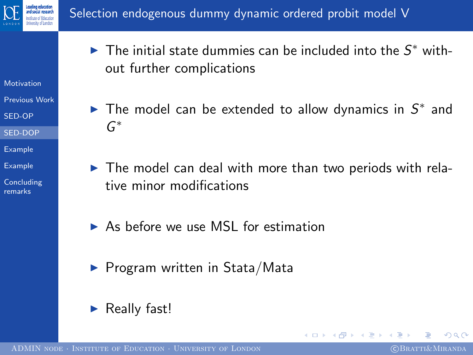

- [Motivation](#page-1-0)
- [Previous Work](#page-2-0)
- [SED-OP](#page-3-0)
- [SED-DOP](#page-8-0)
- [Example](#page-13-0)
- [Example](#page-13-0)
- **[Concluding](#page-17-0)** remarks
- $\blacktriangleright$  The initial state dummies can be included into the  $S^*$  without further complications
- The model can be extended to allow dynamics in  $S^*$  and G ∗
- $\blacktriangleright$  The model can deal with more than two periods with relative minor modifications
- As before we use MSL for estimation
- $\blacktriangleright$  Program written in Stata/Mata
- $\blacktriangleright$  Really fast!

<span id="page-12-0"></span> $\Omega$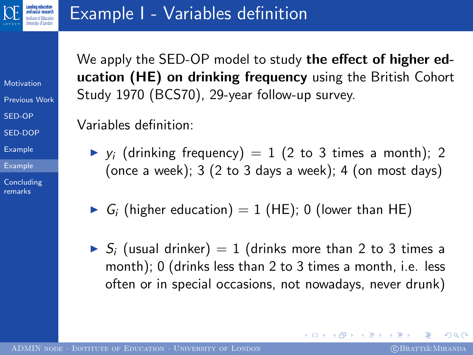

[Motivation](#page-1-0) [Previous Work](#page-2-0) [SED-OP](#page-3-0)

[SED-DOP](#page-8-0)

[Example](#page-13-0)

[Example](#page-13-0)

**[Concluding](#page-17-0)** remarks

We apply the SED-OP model to study the effect of higher education (HE) on drinking frequency using the British Cohort Study 1970 (BCS70), 29-year follow-up survey.

Variables definition:

- $\blacktriangleright$  y<sub>i</sub> (drinking frequency) = 1 (2 to 3 times a month); 2 (once a week);  $3$  (2 to 3 days a week);  $4$  (on most days)
- $G_i$  (higher education) = 1 (HE); 0 (lower than HE)
- $S_i$  (usual drinker) = 1 (drinks more than 2 to 3 times a month); 0 (drinks less than 2 to 3 times a month, i.e. less often or in special occasions, not nowadays, never drunk)

<span id="page-13-0"></span> $\Omega$ 

医单侧 医单侧的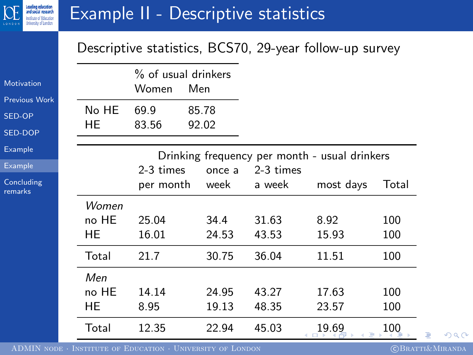

#### Example II - Descriptive statistics

#### Descriptive statistics, BCS70, 29-year follow-up survey

| No HE                                         |                |       |                        |                                                                              |                |                   |
|-----------------------------------------------|----------------|-------|------------------------|------------------------------------------------------------------------------|----------------|-------------------|
| HE                                            | 69.9<br>83.56  | 85.78 |                        |                                                                              |                |                   |
| Drinking frequency per month - usual drinkers |                |       |                        |                                                                              |                |                   |
|                                               |                |       |                        | 2-3 times                                                                    |                |                   |
|                                               |                |       |                        | a week                                                                       | most days      | Total             |
| Women<br>no HE<br>HE                          | 25.04<br>16.01 |       |                        | 31.63<br>43.53                                                               | 8.92<br>15.93  | 100<br>100        |
| Total                                         | 21.7           |       |                        | 36.04                                                                        | 11.51          | 100               |
| Men<br>no HE<br>HE                            | 14.14<br>8.95  |       |                        | 43.27<br>48.35                                                               | 17.63<br>23.57 | 100<br>100<br>100 |
|                                               | Total          | 12.35 | 2-3 times<br>per month | 92.02<br>once a<br>week<br>34.4<br>24.53<br>30.75<br>24.95<br>19.13<br>22.94 | 45.03          | 19.69             |

<span id="page-14-0"></span> $299$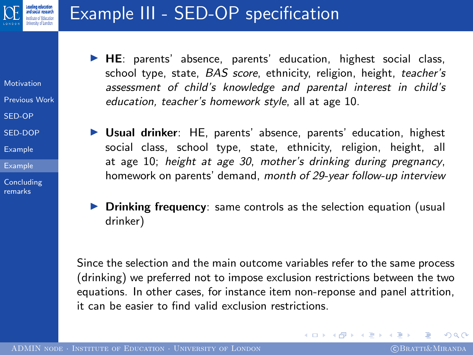

#### Example III - SED-OP specification

- [Motivation](#page-1-0)
- [Previous Work](#page-2-0)
- [SED-OP](#page-3-0)
- [SED-DOP](#page-8-0)
- [Example](#page-13-0)
- [Example](#page-13-0)
- **[Concluding](#page-17-0)** remarks
- $\blacktriangleright$  HE: parents' absence, parents' education, highest social class, school type, state, BAS score, ethnicity, religion, height, teacher's assessment of child's knowledge and parental interest in child's education, teacher's homework style, all at age 10.
- ▶ Usual drinker: HE, parents' absence, parents' education, highest social class, school type, state, ethnicity, religion, height, all at age 10; height at age 30, mother's drinking during pregnancy, homework on parents' demand, month of 29-year follow-up interview
- $\triangleright$  Drinking frequency: same controls as the selection equation (usual drinker)

Since the selection and the main outcome variables refer to the same process (drinking) we preferred not to impose exclusion restrictions between the two equations. In other cases, for instance item non-reponse and panel attrition, it can be easier to find valid exclusion restrictions.

<span id="page-15-0"></span> $2990$ 

イロメ イ何メ イヨメ イヨメ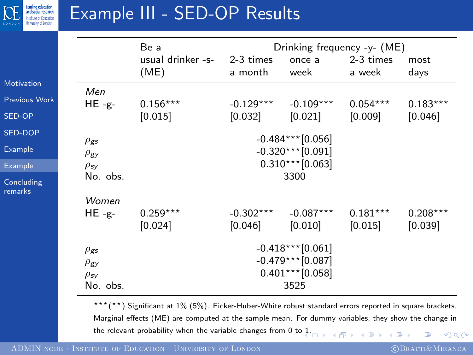

# Example III - SED-OP Results

|                       |                                                                                | Be a                                                                     |                        | Drinking frequency -y- (ME) |                       |                       |  |  |
|-----------------------|--------------------------------------------------------------------------------|--------------------------------------------------------------------------|------------------------|-----------------------------|-----------------------|-----------------------|--|--|
|                       |                                                                                | usual drinker -s-<br>(ME)                                                | 2-3 times<br>a month   | once a<br>week              | 2-3 times<br>a week   | most<br>days          |  |  |
| Motivation            | Men                                                                            |                                                                          |                        |                             |                       |                       |  |  |
| <b>Previous Work</b>  | $HE - g -$                                                                     | $0.156***$                                                               | $-0.129***$            | $-0.109***$                 | $0.054***$            | $0.183***$            |  |  |
| SED-OP                |                                                                                | [0.015]                                                                  | [0.032]                | [0.021]                     | [0.009]               | [0.046]               |  |  |
| <b>SED-DOP</b>        | $\rho_{\texttt{gs}}$                                                           |                                                                          |                        | $-0.484***$ [0.056]         |                       |                       |  |  |
| Example               | $\rho_{\text{gy}}$                                                             |                                                                          |                        | $-0.320***$ [0.091]         |                       |                       |  |  |
| Example               | $\rho_{\mathsf{sy}}$                                                           | $0.310***$ [0.063]                                                       |                        |                             |                       |                       |  |  |
| Concluding<br>remarks | No. obs.                                                                       |                                                                          | 3300                   |                             |                       |                       |  |  |
|                       | Women                                                                          |                                                                          |                        |                             |                       |                       |  |  |
|                       | $HE - g -$                                                                     | $0.259***$<br>[0.024]                                                    | $-0.302***$<br>[0.046] | $-0.087***$<br>[0.010]      | $0.181***$<br>[0.015] | $0.208***$<br>[0.039] |  |  |
|                       | $\rho_{\texttt{gs}}$<br>$\rho_{\text{gy}}$<br>$\rho_{\mathsf{sy}}$<br>No. obs. | $-0.418***$ [0.061]<br>$-0.479***$ [0.087]<br>$0.401***$ [0.058]<br>3525 |                        |                             |                       |                       |  |  |

<span id="page-16-0"></span>\*\*\*(\*\*) Significant at 1% (5%). Eicker-Huber-White robust standard errors reported in square brackets. Marginal effects (ME) are computed at the sample mean. For dummy variables, they show the change in the relevant probability when the variable changes from 0 to  $1.$  $QQ$ 币 э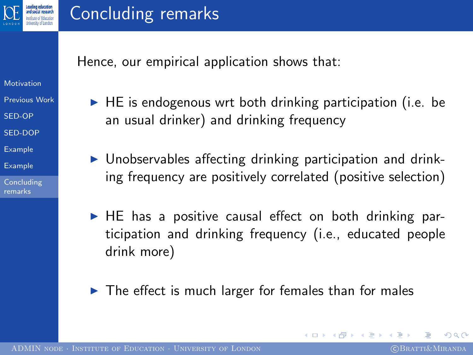

#### Concluding remarks

Hence, our empirical application shows that:

- [Motivation](#page-1-0)
- [Previous Work](#page-2-0)
- [SED-OP](#page-3-0)
- [SED-DOP](#page-8-0)
- [Example](#page-13-0)
- [Example](#page-13-0)
- [Concluding](#page-17-0) remarks
- $\blacktriangleright$  HE is endogenous wrt both drinking participation (i.e. be an usual drinker) and drinking frequency
- $\triangleright$  Unobservables affecting drinking participation and drinking frequency are positively correlated (positive selection)
- $\blacktriangleright$  HE has a positive causal effect on both drinking participation and drinking frequency (i.e., educated people drink more)
- $\blacktriangleright$  The effect is much larger for females than for males

<span id="page-17-0"></span> $200$